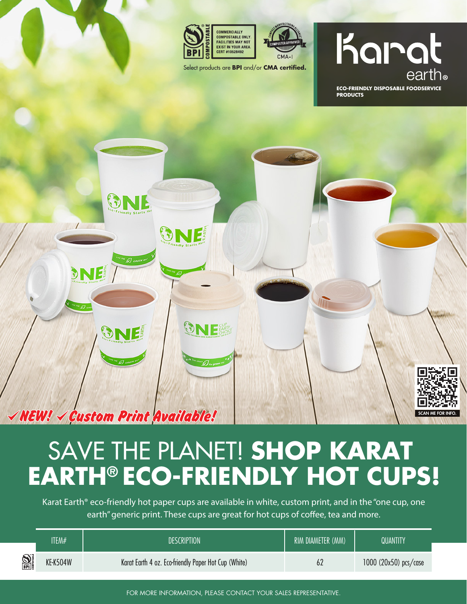

ONE

ONE

 $\checkmark$  NEW!  $\checkmark$  Custom Print Available!

DNE

ONE

ONE

a.



Select products are **BPI** and/or **CMA certified.** 

## Karat

**ECO-FRIENDLY DISPOSABLE FOODSERVICE PRODUCTS**

SCAN ME FOR INFO.

## SAVE THE PLANET! **SHOP KARAT EARTH® ECO-FRIENDLY HOT CUPS!**

Karat Earth® eco-friendly hot paper cups are available in white, custom print, and in the "one cup, one earth" generic print. These cups are great for hot cups of coffee, tea and more.

|                       | ITEM#           | <b>DESCRIPTION</b>                                   | RIM DIAMETER (MM) | QUANTITY                |
|-----------------------|-----------------|------------------------------------------------------|-------------------|-------------------------|
| $\sum_{n=1}^{\infty}$ | <b>KE-K504W</b> | Karat Earth 4 oz. Eco-friendly Paper Hot Cup (White) | 62                | 1000 $(20x50)$ pcs/case |